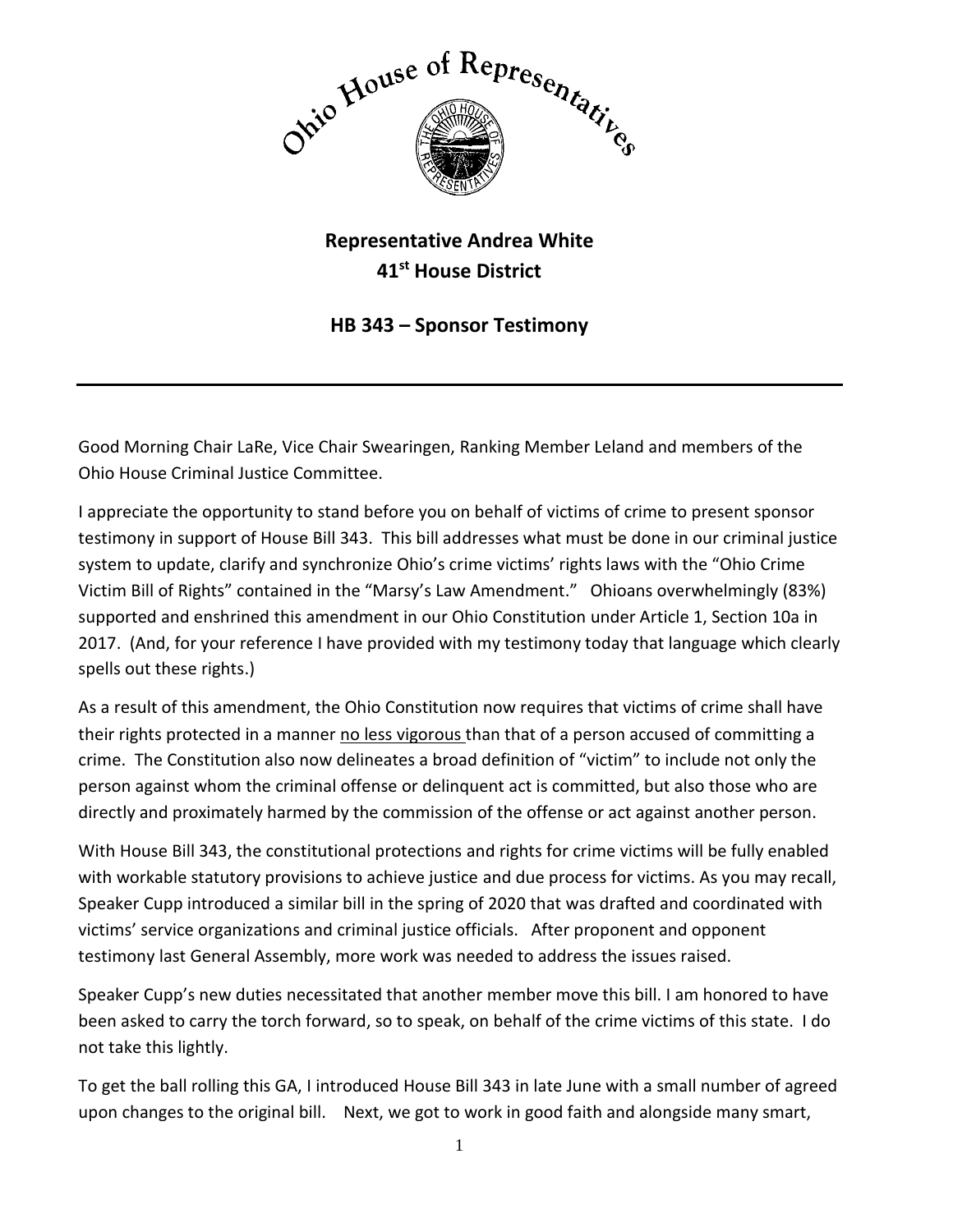

## **Representative Andrea White 41st House District**

## **HB 343 – Sponsor Testimony**

Good Morning Chair LaRe, Vice Chair Swearingen, Ranking Member Leland and members of the Ohio House Criminal Justice Committee.

I appreciate the opportunity to stand before you on behalf of victims of crime to present sponsor testimony in support of House Bill 343. This bill addresses what must be done in our criminal justice system to update, clarify and synchronize Ohio's crime victims' rights laws with the "Ohio Crime Victim Bill of Rights" contained in the "Marsy's Law Amendment." Ohioans overwhelmingly (83%) supported and enshrined this amendment in our Ohio Constitution under Article 1, Section 10a in 2017. (And, for your reference I have provided with my testimony today that language which clearly spells out these rights.)

As a result of this amendment, the Ohio Constitution now requires that victims of crime shall have their rights protected in a manner no less vigorous than that of a person accused of committing a crime. The Constitution also now delineates a broad definition of "victim" to include not only the person against whom the criminal offense or delinquent act is committed, but also those who are directly and proximately harmed by the commission of the offense or act against another person.

With House Bill 343, the constitutional protections and rights for crime victims will be fully enabled with workable statutory provisions to achieve justice and due process for victims. As you may recall, Speaker Cupp introduced a similar bill in the spring of 2020 that was drafted and coordinated with victims' service organizations and criminal justice officials. After proponent and opponent testimony last General Assembly, more work was needed to address the issues raised.

Speaker Cupp's new duties necessitated that another member move this bill. I am honored to have been asked to carry the torch forward, so to speak, on behalf of the crime victims of this state. I do not take this lightly.

To get the ball rolling this GA, I introduced House Bill 343 in late June with a small number of agreed upon changes to the original bill. Next, we got to work in good faith and alongside many smart,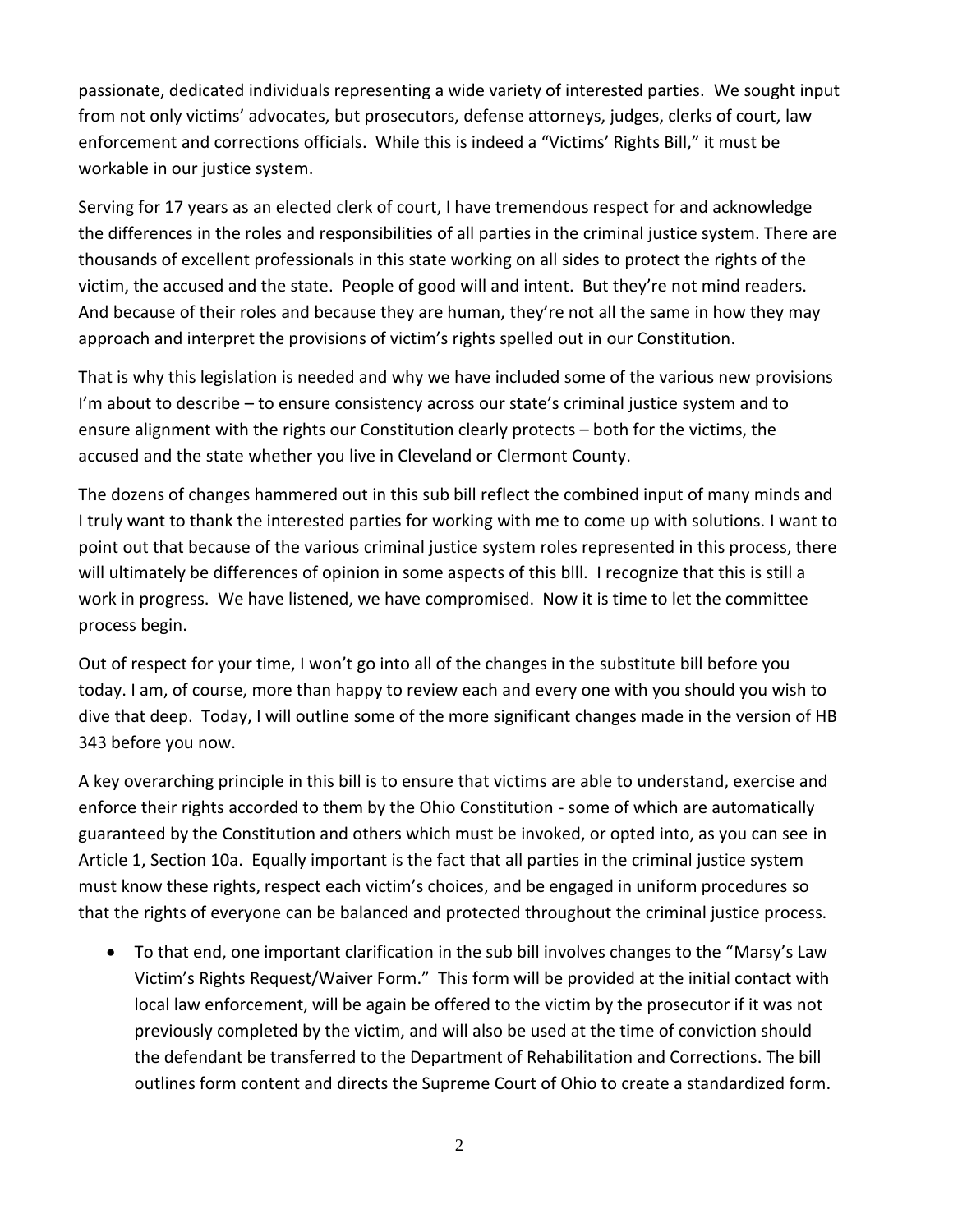passionate, dedicated individuals representing a wide variety of interested parties. We sought input from not only victims' advocates, but prosecutors, defense attorneys, judges, clerks of court, law enforcement and corrections officials. While this is indeed a "Victims' Rights Bill," it must be workable in our justice system.

Serving for 17 years as an elected clerk of court, I have tremendous respect for and acknowledge the differences in the roles and responsibilities of all parties in the criminal justice system. There are thousands of excellent professionals in this state working on all sides to protect the rights of the victim, the accused and the state. People of good will and intent. But they're not mind readers. And because of their roles and because they are human, they're not all the same in how they may approach and interpret the provisions of victim's rights spelled out in our Constitution.

That is why this legislation is needed and why we have included some of the various new provisions I'm about to describe – to ensure consistency across our state's criminal justice system and to ensure alignment with the rights our Constitution clearly protects – both for the victims, the accused and the state whether you live in Cleveland or Clermont County.

The dozens of changes hammered out in this sub bill reflect the combined input of many minds and I truly want to thank the interested parties for working with me to come up with solutions. I want to point out that because of the various criminal justice system roles represented in this process, there will ultimately be differences of opinion in some aspects of this blll. I recognize that this is still a work in progress. We have listened, we have compromised. Now it is time to let the committee process begin.

Out of respect for your time, I won't go into all of the changes in the substitute bill before you today. I am, of course, more than happy to review each and every one with you should you wish to dive that deep. Today, I will outline some of the more significant changes made in the version of HB 343 before you now.

A key overarching principle in this bill is to ensure that victims are able to understand, exercise and enforce their rights accorded to them by the Ohio Constitution - some of which are automatically guaranteed by the Constitution and others which must be invoked, or opted into, as you can see in Article 1, Section 10a. Equally important is the fact that all parties in the criminal justice system must know these rights, respect each victim's choices, and be engaged in uniform procedures so that the rights of everyone can be balanced and protected throughout the criminal justice process.

 To that end, one important clarification in the sub bill involves changes to the "Marsy's Law Victim's Rights Request/Waiver Form." This form will be provided at the initial contact with local law enforcement, will be again be offered to the victim by the prosecutor if it was not previously completed by the victim, and will also be used at the time of conviction should the defendant be transferred to the Department of Rehabilitation and Corrections. The bill outlines form content and directs the Supreme Court of Ohio to create a standardized form.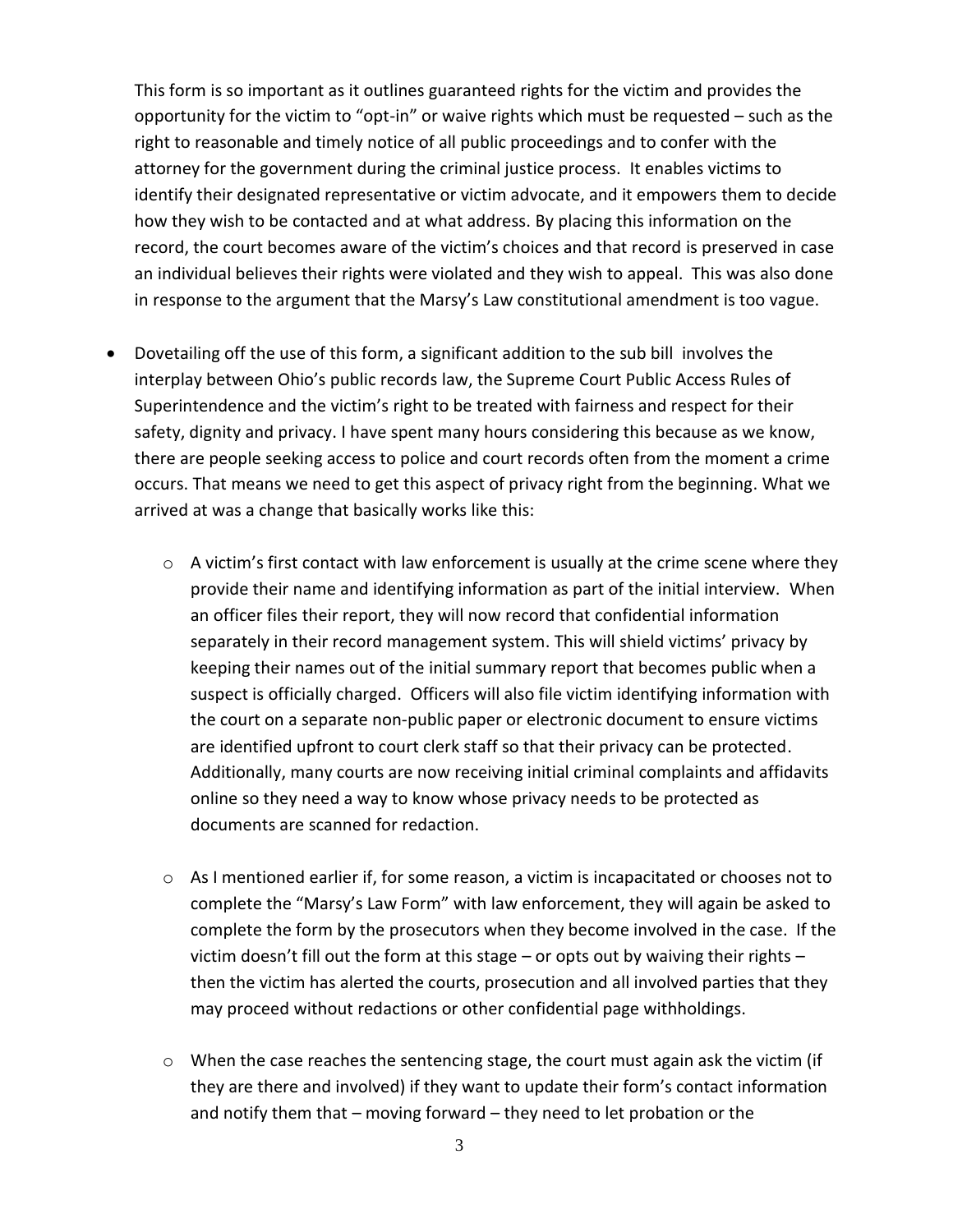This form is so important as it outlines guaranteed rights for the victim and provides the opportunity for the victim to "opt-in" or waive rights which must be requested – such as the right to reasonable and timely notice of all public proceedings and to confer with the attorney for the government during the criminal justice process. It enables victims to identify their designated representative or victim advocate, and it empowers them to decide how they wish to be contacted and at what address. By placing this information on the record, the court becomes aware of the victim's choices and that record is preserved in case an individual believes their rights were violated and they wish to appeal. This was also done in response to the argument that the Marsy's Law constitutional amendment is too vague.

- Dovetailing off the use of this form, a significant addition to the sub bill involves the interplay between Ohio's public records law, the Supreme Court Public Access Rules of Superintendence and the victim's right to be treated with fairness and respect for their safety, dignity and privacy. I have spent many hours considering this because as we know, there are people seeking access to police and court records often from the moment a crime occurs. That means we need to get this aspect of privacy right from the beginning. What we arrived at was a change that basically works like this:
	- o A victim's first contact with law enforcement is usually at the crime scene where they provide their name and identifying information as part of the initial interview. When an officer files their report, they will now record that confidential information separately in their record management system. This will shield victims' privacy by keeping their names out of the initial summary report that becomes public when a suspect is officially charged. Officers will also file victim identifying information with the court on a separate non-public paper or electronic document to ensure victims are identified upfront to court clerk staff so that their privacy can be protected. Additionally, many courts are now receiving initial criminal complaints and affidavits online so they need a way to know whose privacy needs to be protected as documents are scanned for redaction.
	- $\circ$  As I mentioned earlier if, for some reason, a victim is incapacitated or chooses not to complete the "Marsy's Law Form" with law enforcement, they will again be asked to complete the form by the prosecutors when they become involved in the case. If the victim doesn't fill out the form at this stage – or opts out by waiving their rights – then the victim has alerted the courts, prosecution and all involved parties that they may proceed without redactions or other confidential page withholdings.
	- o When the case reaches the sentencing stage, the court must again ask the victim (if they are there and involved) if they want to update their form's contact information and notify them that – moving forward – they need to let probation or the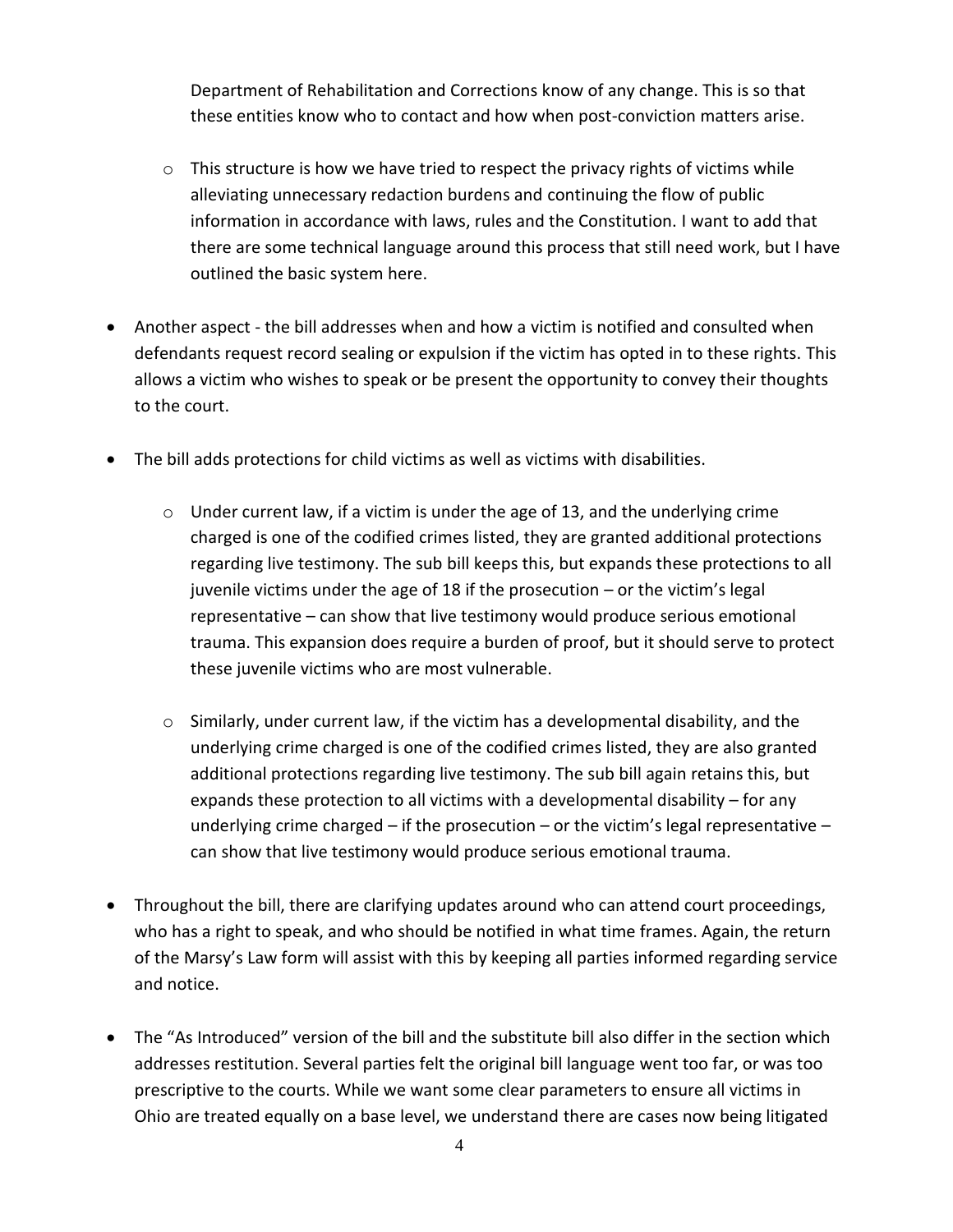Department of Rehabilitation and Corrections know of any change. This is so that these entities know who to contact and how when post-conviction matters arise.

- $\circ$  This structure is how we have tried to respect the privacy rights of victims while alleviating unnecessary redaction burdens and continuing the flow of public information in accordance with laws, rules and the Constitution. I want to add that there are some technical language around this process that still need work, but I have outlined the basic system here.
- Another aspect the bill addresses when and how a victim is notified and consulted when defendants request record sealing or expulsion if the victim has opted in to these rights. This allows a victim who wishes to speak or be present the opportunity to convey their thoughts to the court.
- The bill adds protections for child victims as well as victims with disabilities.
	- o Under current law, if a victim is under the age of 13, and the underlying crime charged is one of the codified crimes listed, they are granted additional protections regarding live testimony. The sub bill keeps this, but expands these protections to all juvenile victims under the age of 18 if the prosecution – or the victim's legal representative – can show that live testimony would produce serious emotional trauma. This expansion does require a burden of proof, but it should serve to protect these juvenile victims who are most vulnerable.
	- $\circ$  Similarly, under current law, if the victim has a developmental disability, and the underlying crime charged is one of the codified crimes listed, they are also granted additional protections regarding live testimony. The sub bill again retains this, but expands these protection to all victims with a developmental disability – for any underlying crime charged – if the prosecution – or the victim's legal representative – can show that live testimony would produce serious emotional trauma.
- Throughout the bill, there are clarifying updates around who can attend court proceedings, who has a right to speak, and who should be notified in what time frames. Again, the return of the Marsy's Law form will assist with this by keeping all parties informed regarding service and notice.
- The "As Introduced" version of the bill and the substitute bill also differ in the section which addresses restitution. Several parties felt the original bill language went too far, or was too prescriptive to the courts. While we want some clear parameters to ensure all victims in Ohio are treated equally on a base level, we understand there are cases now being litigated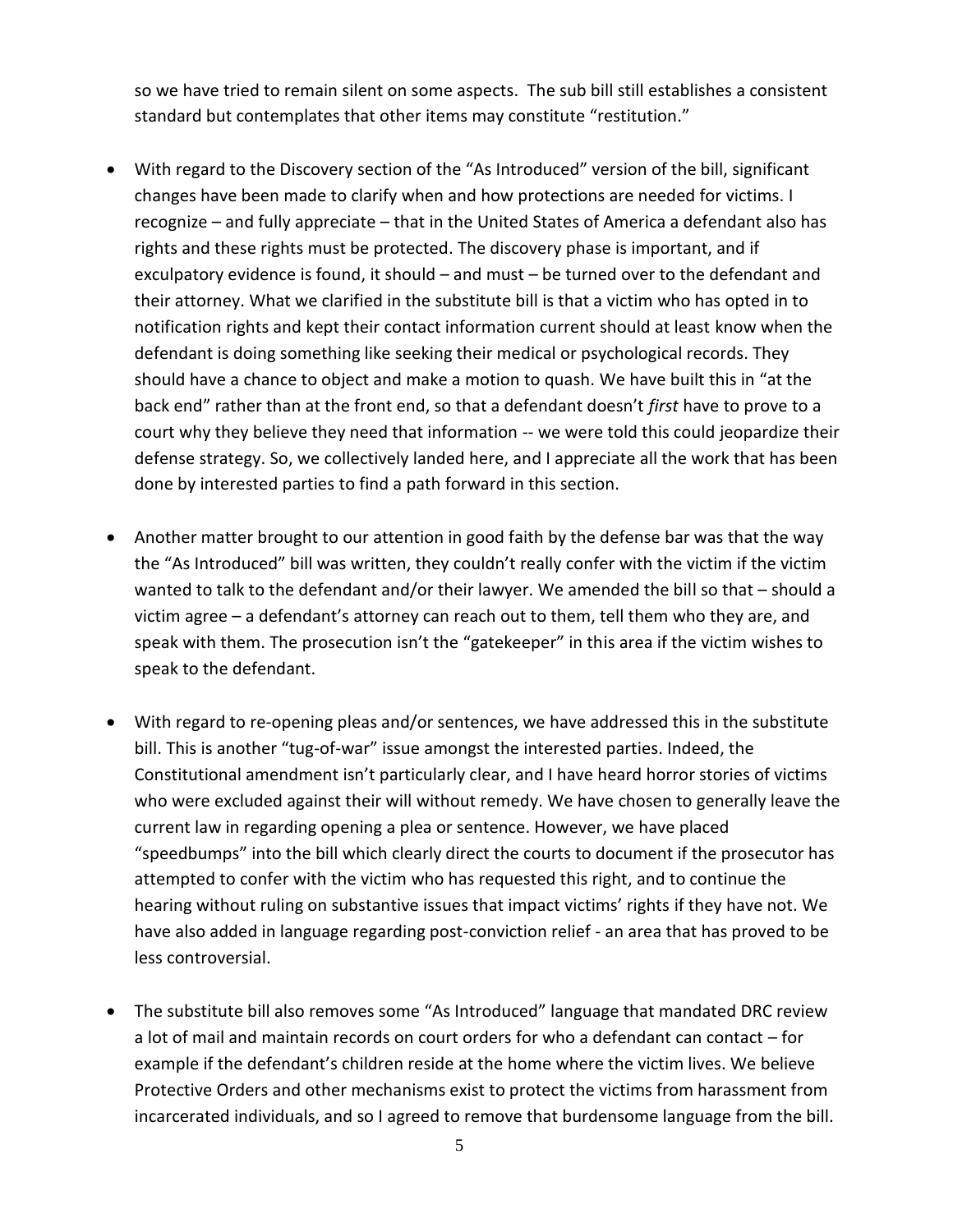so we have tried to remain silent on some aspects. The sub bill still establishes a consistent standard but contemplates that other items may constitute "restitution."

- With regard to the Discovery section of the "As Introduced" version of the bill, significant changes have been made to clarify when and how protections are needed for victims. I recognize – and fully appreciate – that in the United States of America a defendant also has rights and these rights must be protected. The discovery phase is important, and if exculpatory evidence is found, it should – and must – be turned over to the defendant and their attorney. What we clarified in the substitute bill is that a victim who has opted in to notification rights and kept their contact information current should at least know when the defendant is doing something like seeking their medical or psychological records. They should have a chance to object and make a motion to quash. We have built this in "at the back end" rather than at the front end, so that a defendant doesn't *first* have to prove to a court why they believe they need that information -- we were told this could jeopardize their defense strategy. So, we collectively landed here, and I appreciate all the work that has been done by interested parties to find a path forward in this section.
- Another matter brought to our attention in good faith by the defense bar was that the way the "As Introduced" bill was written, they couldn't really confer with the victim if the victim wanted to talk to the defendant and/or their lawyer. We amended the bill so that – should a victim agree – a defendant's attorney can reach out to them, tell them who they are, and speak with them. The prosecution isn't the "gatekeeper" in this area if the victim wishes to speak to the defendant.
- With regard to re-opening pleas and/or sentences, we have addressed this in the substitute bill. This is another "tug-of-war" issue amongst the interested parties. Indeed, the Constitutional amendment isn't particularly clear, and I have heard horror stories of victims who were excluded against their will without remedy. We have chosen to generally leave the current law in regarding opening a plea or sentence. However, we have placed "speedbumps" into the bill which clearly direct the courts to document if the prosecutor has attempted to confer with the victim who has requested this right, and to continue the hearing without ruling on substantive issues that impact victims' rights if they have not. We have also added in language regarding post-conviction relief - an area that has proved to be less controversial.
- The substitute bill also removes some "As Introduced" language that mandated DRC review a lot of mail and maintain records on court orders for who a defendant can contact – for example if the defendant's children reside at the home where the victim lives. We believe Protective Orders and other mechanisms exist to protect the victims from harassment from incarcerated individuals, and so I agreed to remove that burdensome language from the bill.